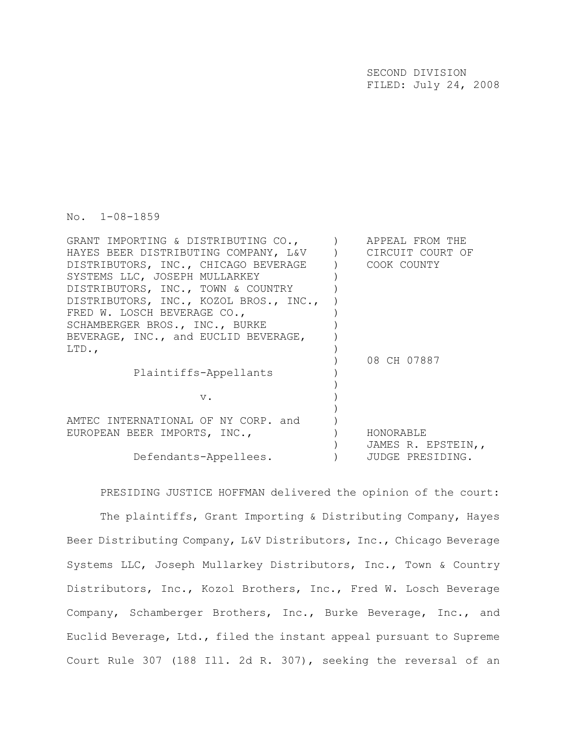SECOND DIVISION FILED: July 24, 2008

No. 1-08-1859

| GRANT IMPORTING & DISTRIBUTING CO.,    | APPEAL FROM THE    |
|----------------------------------------|--------------------|
| HAYES BEER DISTRIBUTING COMPANY, L&V   | CIRCUIT COURT OF   |
| DISTRIBUTORS, INC., CHICAGO BEVERAGE   | COOK COUNTY        |
| SYSTEMS LLC, JOSEPH MULLARKEY          |                    |
| DISTRIBUTORS, INC., TOWN & COUNTRY     |                    |
| DISTRIBUTORS, INC., KOZOL BROS., INC., |                    |
| FRED W. LOSCH BEVERAGE CO.,            |                    |
| SCHAMBERGER BROS., INC., BURKE         |                    |
| BEVERAGE, INC., and EUCLID BEVERAGE,   |                    |
| LTD.                                   |                    |
|                                        | 08 CH 07887        |
| Plaintiffs-Appellants                  |                    |
|                                        |                    |
| $V$ .                                  |                    |
|                                        |                    |
| AMTEC INTERNATIONAL OF NY CORP. and    |                    |
| EUROPEAN BEER IMPORTS, INC.,           | HONORABLE          |
|                                        | JAMES R. EPSTEIN,, |
| Defendants-Appellees.                  | JUDGE PRESIDING.   |
|                                        |                    |

PRESIDING JUSTICE HOFFMAN delivered the opinion of the court: The plaintiffs, Grant Importing & Distributing Company, Hayes Beer Distributing Company, L&V Distributors, Inc., Chicago Beverage Systems LLC, Joseph Mullarkey Distributors, Inc., Town & Country Distributors, Inc., Kozol Brothers, Inc., Fred W. Losch Beverage Company, Schamberger Brothers, Inc., Burke Beverage, Inc., and Euclid Beverage, Ltd., filed the instant appeal pursuant to Supreme Court Rule 307 (188 Ill. 2d R. 307), seeking the reversal of an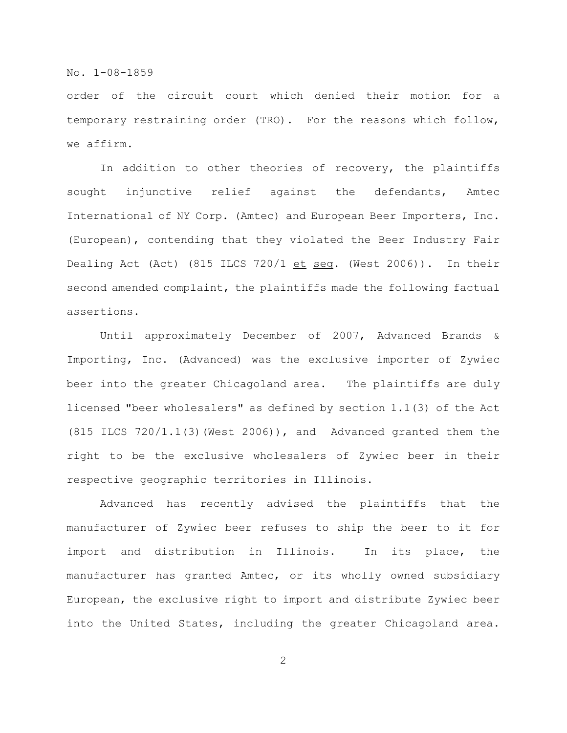order of the circuit court which denied their motion for a temporary restraining order (TRO). For the reasons which follow, we affirm.

In addition to other theories of recovery, the plaintiffs sought injunctive relief against the defendants, Amtec International of NY Corp. (Amtec) and European Beer Importers, Inc. (European), contending that they violated the Beer Industry Fair Dealing Act (Act) (815 ILCS 720/1  $et seq.$  (West 2006)). In their</u> second amended complaint, the plaintiffs made the following factual assertions.

Until approximately December of 2007, Advanced Brands & Importing, Inc. (Advanced) was the exclusive importer of Zywiec beer into the greater Chicagoland area. The plaintiffs are duly licensed "beer wholesalers" as defined by section 1.1(3) of the Act (815 ILCS 720/1.1(3)(West 2006)), and Advanced granted them the right to be the exclusive wholesalers of Zywiec beer in their respective geographic territories in Illinois.

Advanced has recently advised the plaintiffs that the manufacturer of Zywiec beer refuses to ship the beer to it for import and distribution in Illinois. In its place, the manufacturer has granted Amtec, or its wholly owned subsidiary European, the exclusive right to import and distribute Zywiec beer into the United States, including the greater Chicagoland area.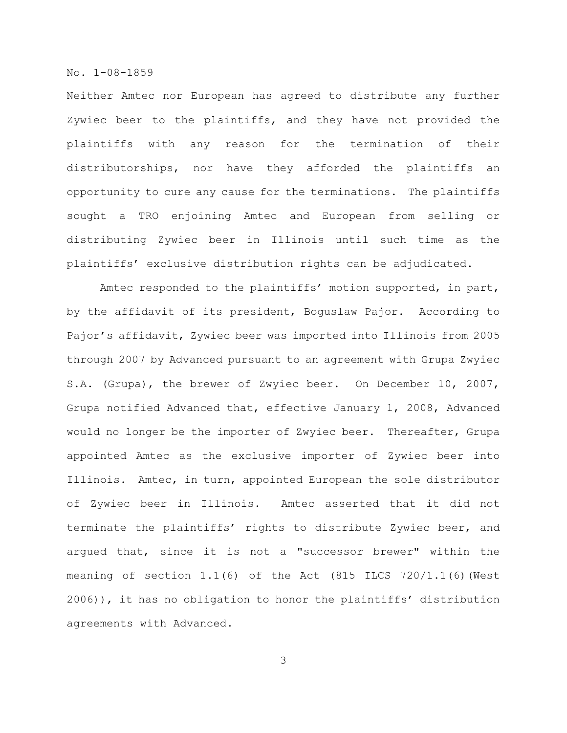Neither Amtec nor European has agreed to distribute any further Zywiec beer to the plaintiffs, and they have not provided the plaintiffs with any reason for the termination of their distributorships, nor have they afforded the plaintiffs an opportunity to cure any cause for the terminations. The plaintiffs sought a TRO enjoining Amtec and European from selling or distributing Zywiec beer in Illinois until such time as the plaintiffs' exclusive distribution rights can be adjudicated.

Amtec responded to the plaintiffs' motion supported, in part, by the affidavit of its president, Boguslaw Pajor. According to Pajor's affidavit, Zywiec beer was imported into Illinois from 2005 through 2007 by Advanced pursuant to an agreement with Grupa Zwyiec S.A. (Grupa), the brewer of Zwyiec beer. On December 10, 2007, Grupa notified Advanced that, effective January 1, 2008, Advanced would no longer be the importer of Zwyiec beer. Thereafter, Grupa appointed Amtec as the exclusive importer of Zywiec beer into Illinois. Amtec, in turn, appointed European the sole distributor of Zywiec beer in Illinois. Amtec asserted that it did not terminate the plaintiffs' rights to distribute Zywiec beer, and argued that, since it is not a "successor brewer" within the meaning of section 1.1(6) of the Act (815 ILCS 720/1.1(6)(West 2006)), it has no obligation to honor the plaintiffs' distribution agreements with Advanced.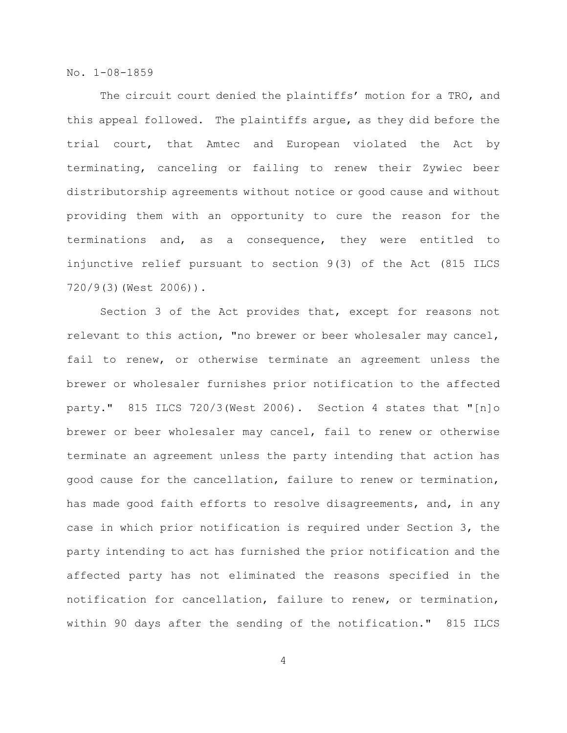The circuit court denied the plaintiffs' motion for a TRO, and this appeal followed. The plaintiffs argue, as they did before the trial court, that Amtec and European violated the Act by terminating, canceling or failing to renew their Zywiec beer distributorship agreements without notice or good cause and without providing them with an opportunity to cure the reason for the terminations and, as a consequence, they were entitled to injunctive relief pursuant to section 9(3) of the Act (815 ILCS 720/9(3)(West 2006)).

Section 3 of the Act provides that, except for reasons not relevant to this action, "no brewer or beer wholesaler may cancel, fail to renew, or otherwise terminate an agreement unless the brewer or wholesaler furnishes prior notification to the affected party." 815 ILCS 720/3(West 2006). Section 4 states that "[n]o brewer or beer wholesaler may cancel, fail to renew or otherwise terminate an agreement unless the party intending that action has good cause for the cancellation, failure to renew or termination, has made good faith efforts to resolve disagreements, and, in any case in which prior notification is required under Section 3, the party intending to act has furnished the prior notification and the affected party has not eliminated the reasons specified in the notification for cancellation, failure to renew, or termination, within 90 days after the sending of the notification." 815 ILCS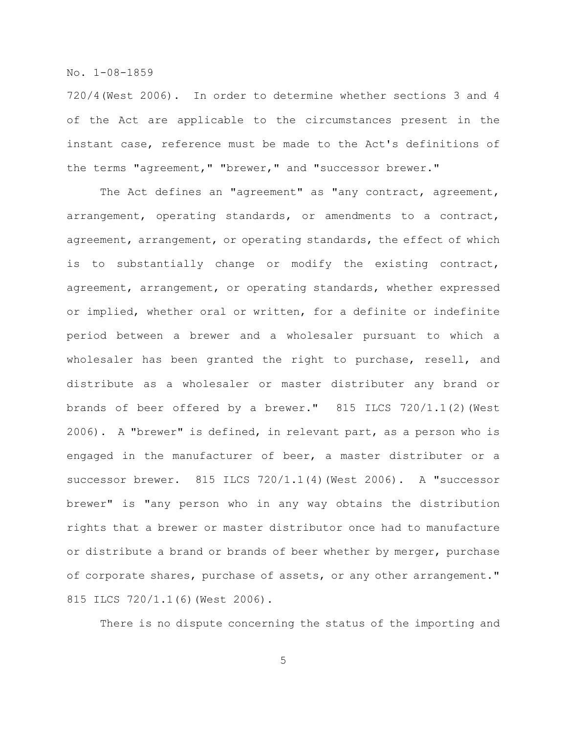720/4(West 2006). In order to determine whether sections 3 and 4 of the Act are applicable to the circumstances present in the instant case, reference must be made to the Act's definitions of the terms "agreement," "brewer," and "successor brewer."

The Act defines an "agreement" as "any contract, agreement, arrangement, operating standards, or amendments to a contract, agreement, arrangement, or operating standards, the effect of which is to substantially change or modify the existing contract, agreement, arrangement, or operating standards, whether expressed or implied, whether oral or written, for a definite or indefinite period between a brewer and a wholesaler pursuant to which a wholesaler has been granted the right to purchase, resell, and distribute as a wholesaler or master distributer any brand or brands of beer offered by a brewer." 815 ILCS 720/1.1(2)(West 2006). A "brewer" is defined, in relevant part, as a person who is engaged in the manufacturer of beer, a master distributer or a successor brewer. 815 ILCS 720/1.1(4)(West 2006). A "successor brewer" is "any person who in any way obtains the distribution rights that a brewer or master distributor once had to manufacture or distribute a brand or brands of beer whether by merger, purchase of corporate shares, purchase of assets, or any other arrangement." 815 ILCS 720/1.1(6)(West 2006).

There is no dispute concerning the status of the importing and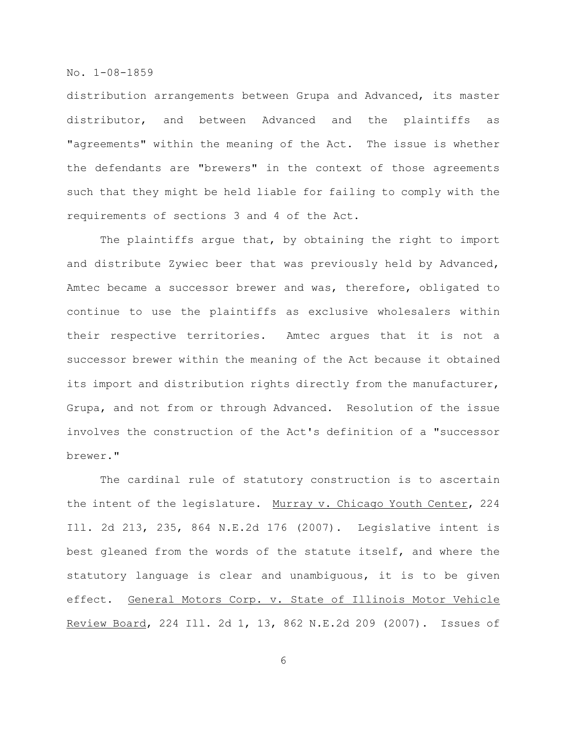distribution arrangements between Grupa and Advanced, its master distributor, and between Advanced and the plaintiffs as "agreements" within the meaning of the Act. The issue is whether the defendants are "brewers" in the context of those agreements such that they might be held liable for failing to comply with the requirements of sections 3 and 4 of the Act.

The plaintiffs argue that, by obtaining the right to import and distribute Zywiec beer that was previously held by Advanced, Amtec became a successor brewer and was, therefore, obligated to continue to use the plaintiffs as exclusive wholesalers within their respective territories. Amtec argues that it is not a successor brewer within the meaning of the Act because it obtained its import and distribution rights directly from the manufacturer, Grupa, and not from or through Advanced. Resolution of the issue involves the construction of the Act's definition of a "successor brewer."

The cardinal rule of statutory construction is to ascertain the intent of the legislature. Murray v. Chicago Youth Center, 224 Ill. 2d 213, 235, 864 N.E.2d 176 (2007). Legislative intent is best gleaned from the words of the statute itself, and where the statutory language is clear and unambiguous, it is to be given effect. General Motors Corp. v. State of Illinois Motor Vehicle Review Board, 224 Ill. 2d 1, 13, 862 N.E.2d 209 (2007). Issues of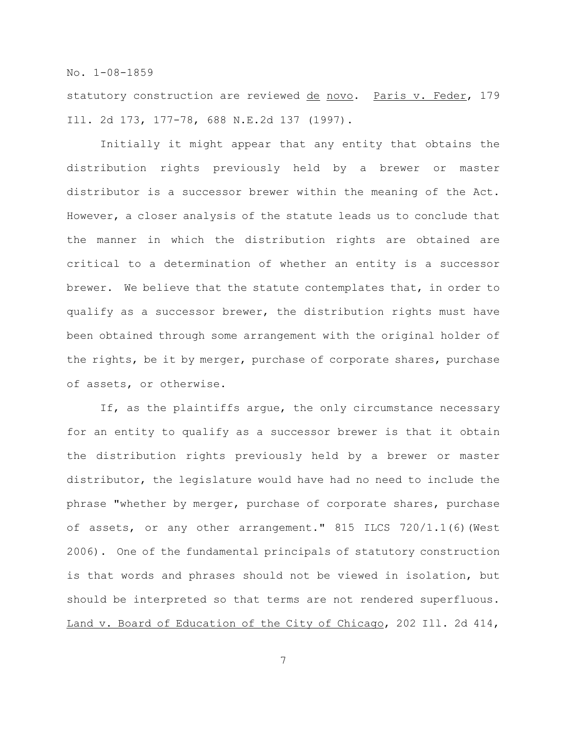statutory construction are reviewed de novo. Paris v. Feder, 179 Ill. 2d 173, 177-78, 688 N.E.2d 137 (1997).

Initially it might appear that any entity that obtains the distribution rights previously held by a brewer or master distributor is a successor brewer within the meaning of the Act. However, a closer analysis of the statute leads us to conclude that the manner in which the distribution rights are obtained are critical to a determination of whether an entity is a successor brewer. We believe that the statute contemplates that, in order to qualify as a successor brewer, the distribution rights must have been obtained through some arrangement with the original holder of the rights, be it by merger, purchase of corporate shares, purchase of assets, or otherwise.

If, as the plaintiffs argue, the only circumstance necessary for an entity to qualify as a successor brewer is that it obtain the distribution rights previously held by a brewer or master distributor, the legislature would have had no need to include the phrase "whether by merger, purchase of corporate shares, purchase of assets, or any other arrangement." 815 ILCS 720/1.1(6) (West 2006). One of the fundamental principals of statutory construction is that words and phrases should not be viewed in isolation, but should be interpreted so that terms are not rendered superfluous. Land v. Board of Education of the City of Chicago, 202 Ill. 2d 414,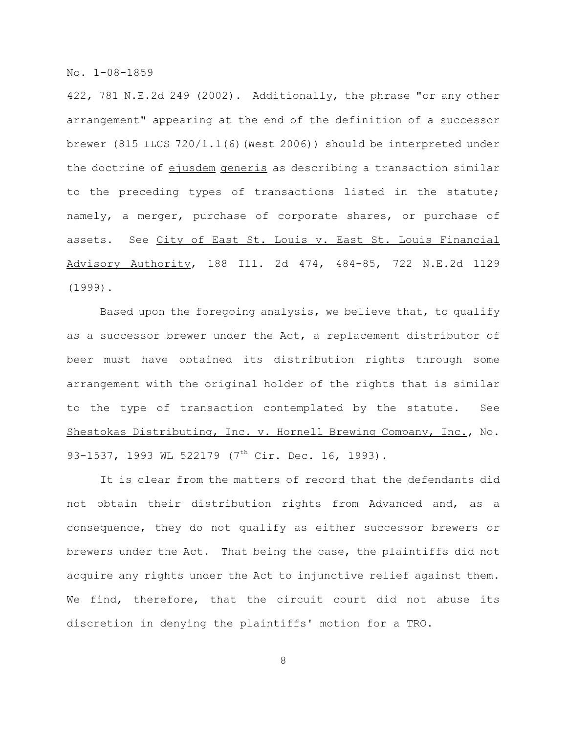422, 781 N.E.2d 249 (2002). Additionally, the phrase "or any other arrangement" appearing at the end of the definition of a successor brewer (815 ILCS 720/1.1(6)(West 2006)) should be interpreted under the doctrine of ejusdem generis as describing a transaction similar to the preceding types of transactions listed in the statute; namely, a merger, purchase of corporate shares, or purchase of assets. See City of East St. Louis v. East St. Louis Financial Advisory Authority, 188 Ill. 2d 474, 484-85, 722 N.E.2d 1129 (1999).

Based upon the foregoing analysis, we believe that, to qualify as a successor brewer under the Act, a replacement distributor of beer must have obtained its distribution rights through some arrangement with the original holder of the rights that is similar to the type of transaction contemplated by the statute. See Shestokas Distributing, Inc. v. Hornell Brewing Company, Inc., No. 93-1537, 1993 WL 522179 (7<sup>th</sup> Cir. Dec. 16, 1993).

It is clear from the matters of record that the defendants did not obtain their distribution rights from Advanced and, as a consequence, they do not qualify as either successor brewers or brewers under the Act. That being the case, the plaintiffs did not acquire any rights under the Act to injunctive relief against them. We find, therefore, that the circuit court did not abuse its discretion in denying the plaintiffs' motion for a TRO.